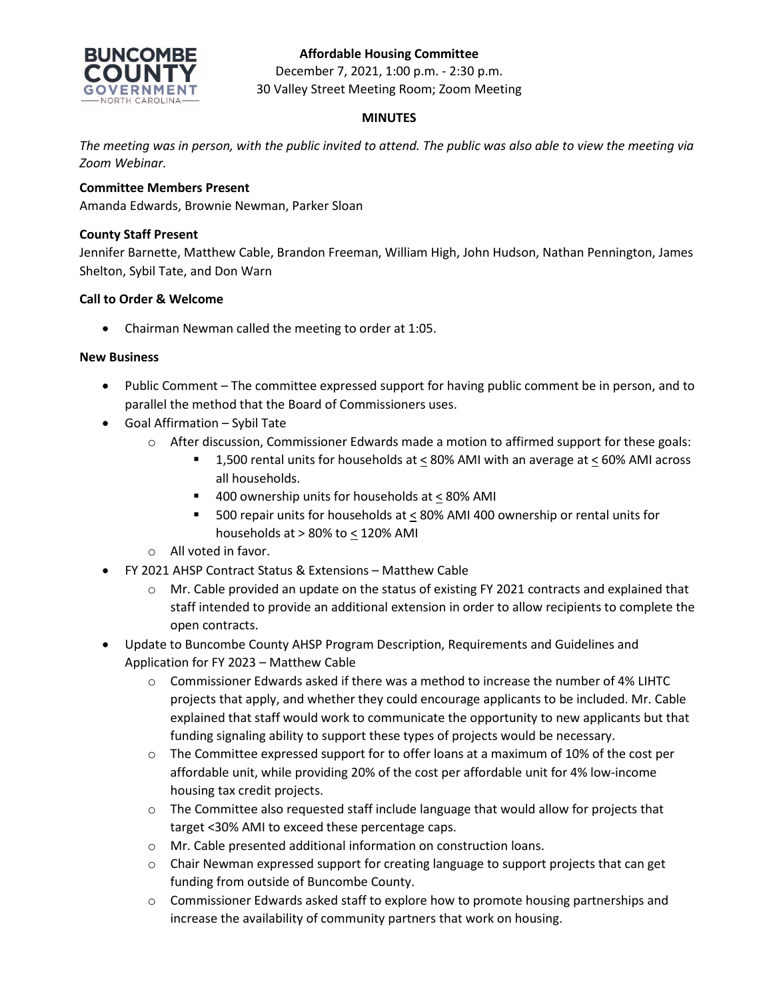### **Affordable Housing Committee**



December 7, 2021, 1:00 p.m. - 2:30 p.m. 30 Valley Street Meeting Room; Zoom Meeting

### **MINUTES**

*The meeting was in person, with the public invited to attend. The public was also able to view the meeting via Zoom Webinar.*

### **Committee Members Present**

Amanda Edwards, Brownie Newman, Parker Sloan

### **County Staff Present**

Jennifer Barnette, Matthew Cable, Brandon Freeman, William High, John Hudson, Nathan Pennington, James Shelton, Sybil Tate, and Don Warn

### **Call to Order & Welcome**

• Chairman Newman called the meeting to order at 1:05.

### **New Business**

- Public Comment The committee expressed support for having public comment be in person, and to parallel the method that the Board of Commissioners uses.
- Goal Affirmation Sybil Tate
	- o After discussion, Commissioner Edwards made a motion to affirmed support for these goals:
		- 1,500 rental units for households at < 80% AMI with an average at < 60% AMI across all households.
		- 400 ownership units for households at < 80% AMI
		- 500 repair units for households at < 80% AMI 400 ownership or rental units for households at > 80% to < 120% AMI
	- o All voted in favor.
- FY 2021 AHSP Contract Status & Extensions Matthew Cable
	- o Mr. Cable provided an update on the status of existing FY 2021 contracts and explained that staff intended to provide an additional extension in order to allow recipients to complete the open contracts.
- Update to Buncombe County AHSP Program Description, Requirements and Guidelines and Application for FY 2023 – Matthew Cable
	- $\circ$  Commissioner Edwards asked if there was a method to increase the number of 4% LIHTC projects that apply, and whether they could encourage applicants to be included. Mr. Cable explained that staff would work to communicate the opportunity to new applicants but that funding signaling ability to support these types of projects would be necessary.
	- $\circ$  The Committee expressed support for to offer loans at a maximum of 10% of the cost per affordable unit, while providing 20% of the cost per affordable unit for 4% low-income housing tax credit projects.
	- $\circ$  The Committee also requested staff include language that would allow for projects that target <30% AMI to exceed these percentage caps.
	- o Mr. Cable presented additional information on construction loans.
	- $\circ$  Chair Newman expressed support for creating language to support projects that can get funding from outside of Buncombe County.
	- o Commissioner Edwards asked staff to explore how to promote housing partnerships and increase the availability of community partners that work on housing.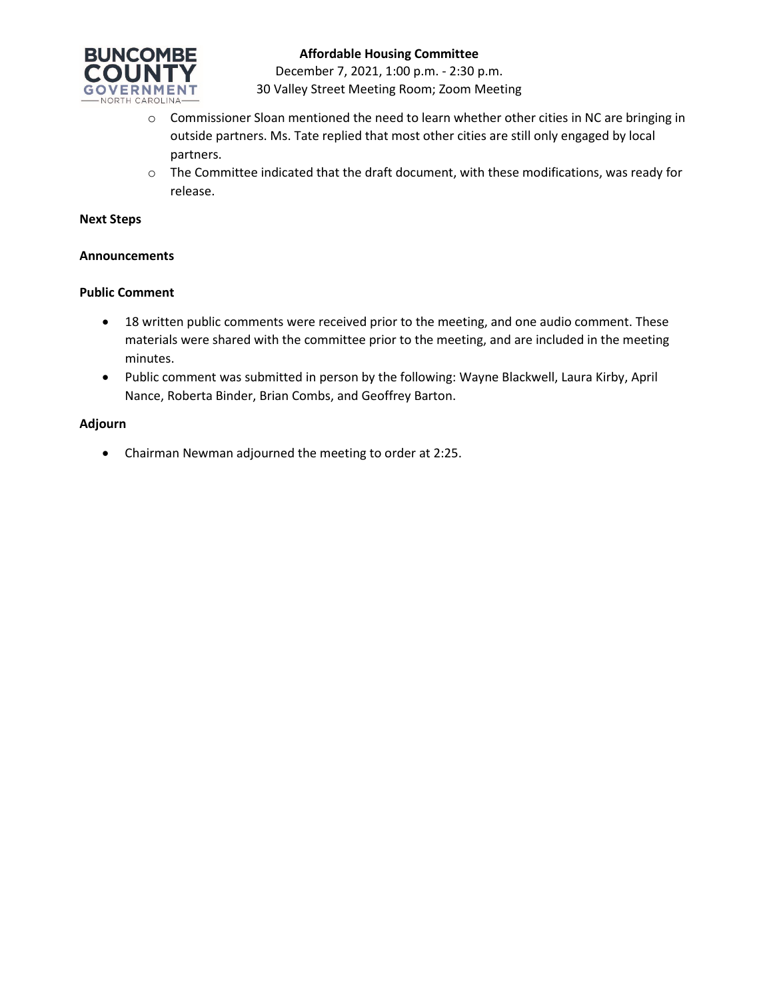

### **Affordable Housing Committee**

December 7, 2021, 1:00 p.m. - 2:30 p.m. 30 Valley Street Meeting Room; Zoom Meeting

- o Commissioner Sloan mentioned the need to learn whether other cities in NC are bringing in outside partners. Ms. Tate replied that most other cities are still only engaged by local partners.
- $\circ$  The Committee indicated that the draft document, with these modifications, was ready for release.

#### **Next Steps**

#### **Announcements**

#### **Public Comment**

- 18 written public comments were received prior to the meeting, and one audio comment. These materials were shared with the committee prior to the meeting, and are included in the meeting minutes.
- Public comment was submitted in person by the following: Wayne Blackwell, Laura Kirby, April Nance, Roberta Binder, Brian Combs, and Geoffrey Barton.

#### **Adjourn**

• Chairman Newman adjourned the meeting to order at 2:25.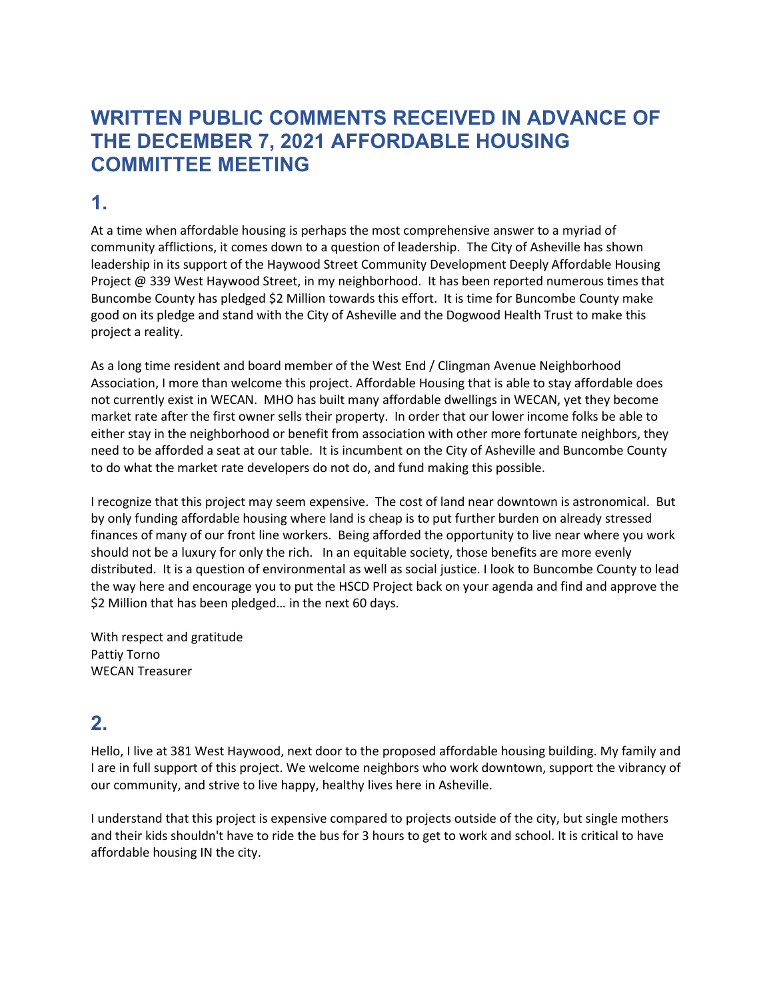# **WRITTEN PUBLIC COMMENTS RECEIVED IN ADVANCE OF THE DECEMBER 7, 2021 AFFORDABLE HOUSING COMMITTEE MEETING**

## **1.**

At a time when affordable housing is perhaps the most comprehensive answer to a myriad of community afflictions, it comes down to a question of leadership. The City of Asheville has shown leadership in its support of the Haywood Street Community Development Deeply Affordable Housing Project @ 339 West Haywood Street, in my neighborhood. It has been reported numerous times that Buncombe County has pledged \$2 Million towards this effort. It is time for Buncombe County make good on its pledge and stand with the City of Asheville and the Dogwood Health Trust to make this project a reality.

As a long time resident and board member of the West End / Clingman Avenue Neighborhood Association, I more than welcome this project. Affordable Housing that is able to stay affordable does not currently exist in WECAN. MHO has built many affordable dwellings in WECAN, yet they become market rate after the first owner sells their property. In order that our lower income folks be able to either stay in the neighborhood or benefit from association with other more fortunate neighbors, they need to be afforded a seat at our table. It is incumbent on the City of Asheville and Buncombe County to do what the market rate developers do not do, and fund making this possible.

I recognize that this project may seem expensive. The cost of land near downtown is astronomical. But by only funding affordable housing where land is cheap is to put further burden on already stressed finances of many of our front line workers. Being afforded the opportunity to live near where you work should not be a luxury for only the rich. In an equitable society, those benefits are more evenly distributed. It is a question of environmental as well as social justice. I look to Buncombe County to lead the way here and encourage you to put the HSCD Project back on your agenda and find and approve the \$2 Million that has been pledged… in the next 60 days.

With respect and gratitude Pattiy Torno WECAN Treasurer

## **2.**

Hello, I live at 381 West Haywood, next door to the proposed affordable housing building. My family and I are in full support of this project. We welcome neighbors who work downtown, support the vibrancy of our community, and strive to live happy, healthy lives here in Asheville.

I understand that this project is expensive compared to projects outside of the city, but single mothers and their kids shouldn't have to ride the bus for 3 hours to get to work and school. It is critical to have affordable housing IN the city.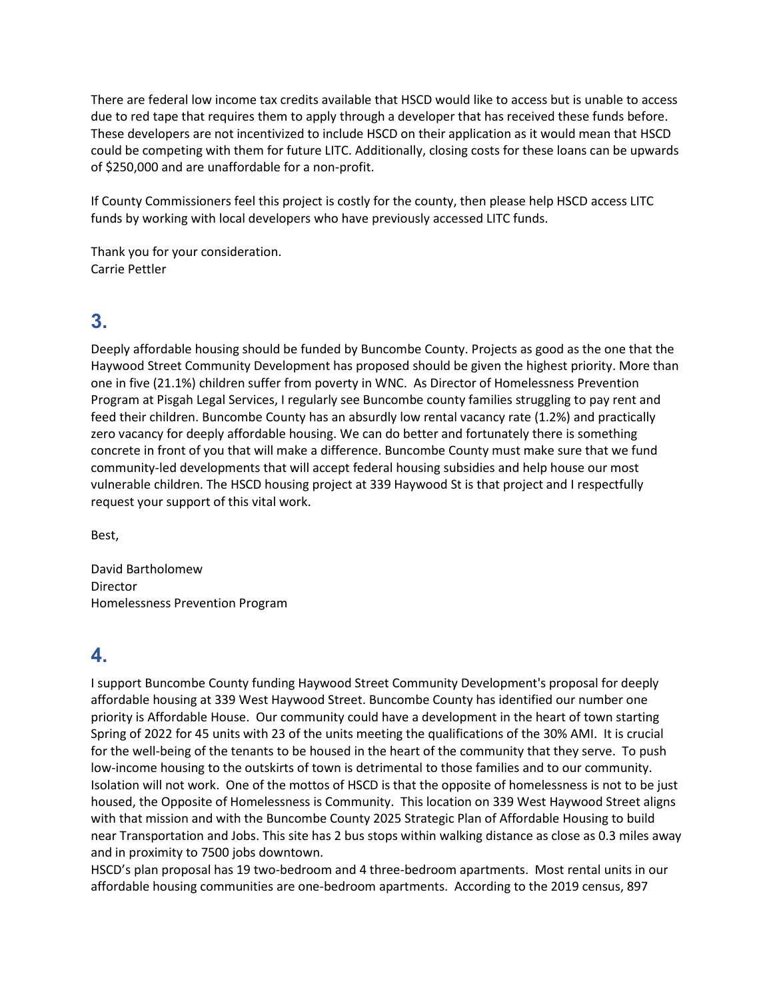There are federal low income tax credits available that HSCD would like to access but is unable to access due to red tape that requires them to apply through a developer that has received these funds before. These developers are not incentivized to include HSCD on their application as it would mean that HSCD could be competing with them for future LITC. Additionally, closing costs for these loans can be upwards of \$250,000 and are unaffordable for a non-profit.

If County Commissioners feel this project is costly for the county, then please help HSCD access LITC funds by working with local developers who have previously accessed LITC funds.

Thank you for your consideration. Carrie Pettler

## **3.**

Deeply affordable housing should be funded by Buncombe County. Projects as good as the one that the Haywood Street Community Development has proposed should be given the highest priority. More than one in five (21.1%) children suffer from poverty in WNC. As Director of Homelessness Prevention Program at Pisgah Legal Services, I regularly see Buncombe county families struggling to pay rent and feed their children. Buncombe County has an absurdly low rental vacancy rate (1.2%) and practically zero vacancy for deeply affordable housing. We can do better and fortunately there is something concrete in front of you that will make a difference. Buncombe County must make sure that we fund community-led developments that will accept federal housing subsidies and help house our most vulnerable children. The HSCD housing project at 339 Haywood St is that project and I respectfully request your support of this vital work.

Best,

David Bartholomew Director Homelessness Prevention Program

## **4.**

I support Buncombe County funding Haywood Street Community Development's proposal for deeply affordable housing at 339 West Haywood Street. Buncombe County has identified our number one priority is Affordable House. Our community could have a development in the heart of town starting Spring of 2022 for 45 units with 23 of the units meeting the qualifications of the 30% AMI. It is crucial for the well-being of the tenants to be housed in the heart of the community that they serve. To push low-income housing to the outskirts of town is detrimental to those families and to our community. Isolation will not work. One of the mottos of HSCD is that the opposite of homelessness is not to be just housed, the Opposite of Homelessness is Community. This location on 339 West Haywood Street aligns with that mission and with the Buncombe County 2025 Strategic Plan of Affordable Housing to build near Transportation and Jobs. This site has 2 bus stops within walking distance as close as 0.3 miles away and in proximity to 7500 jobs downtown.

HSCD's plan proposal has 19 two-bedroom and 4 three-bedroom apartments. Most rental units in our affordable housing communities are one-bedroom apartments. According to the 2019 census, 897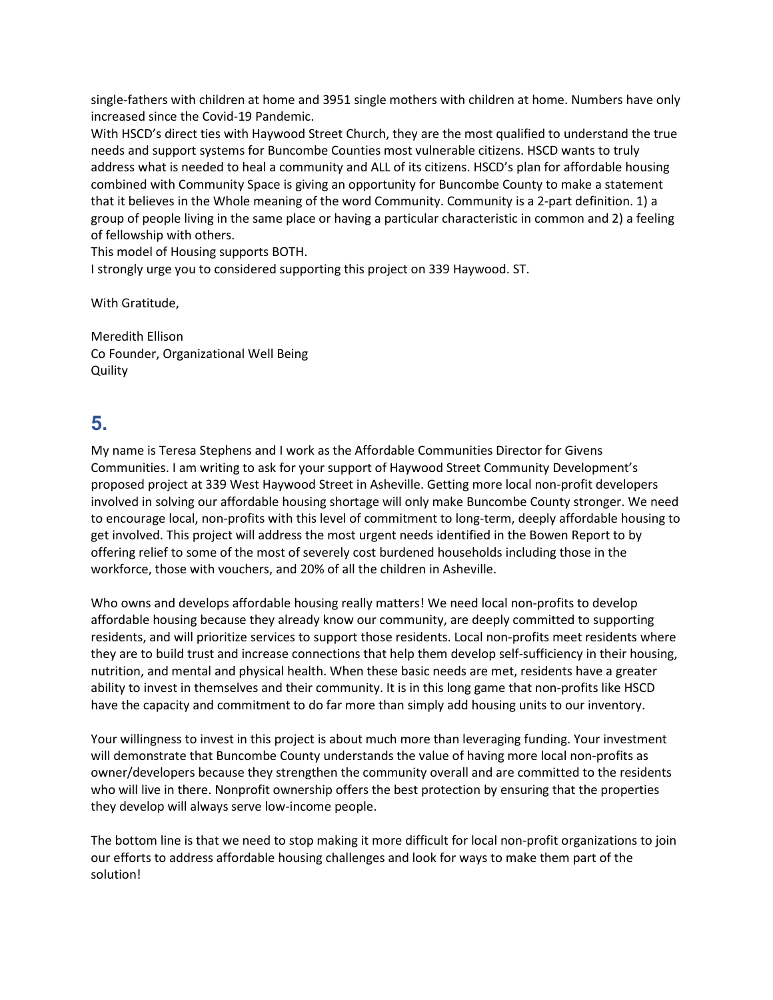single-fathers with children at home and 3951 single mothers with children at home. Numbers have only increased since the Covid-19 Pandemic.

With HSCD's direct ties with Haywood Street Church, they are the most qualified to understand the true needs and support systems for Buncombe Counties most vulnerable citizens. HSCD wants to truly address what is needed to heal a community and ALL of its citizens. HSCD's plan for affordable housing combined with Community Space is giving an opportunity for Buncombe County to make a statement that it believes in the Whole meaning of the word Community. Community is a 2-part definition. 1) a group of people living in the same place or having a particular characteristic in common and 2) a feeling of fellowship with others.

This model of Housing supports BOTH.

I strongly urge you to considered supporting this project on 339 Haywood. ST.

With Gratitude,

Meredith Ellison Co Founder, Organizational Well Being **Quility** 

# **5.**

My name is Teresa Stephens and I work as the Affordable Communities Director for Givens Communities. I am writing to ask for your support of Haywood Street Community Development's proposed project at 339 West Haywood Street in Asheville. Getting more local non-profit developers involved in solving our affordable housing shortage will only make Buncombe County stronger. We need to encourage local, non-profits with this level of commitment to long-term, deeply affordable housing to get involved. This project will address the most urgent needs identified in the Bowen Report to by offering relief to some of the most of severely cost burdened households including those in the workforce, those with vouchers, and 20% of all the children in Asheville.

Who owns and develops affordable housing really matters! We need local non-profits to develop affordable housing because they already know our community, are deeply committed to supporting residents, and will prioritize services to support those residents. Local non-profits meet residents where they are to build trust and increase connections that help them develop self-sufficiency in their housing, nutrition, and mental and physical health. When these basic needs are met, residents have a greater ability to invest in themselves and their community. It is in this long game that non-profits like HSCD have the capacity and commitment to do far more than simply add housing units to our inventory.

Your willingness to invest in this project is about much more than leveraging funding. Your investment will demonstrate that Buncombe County understands the value of having more local non-profits as owner/developers because they strengthen the community overall and are committed to the residents who will live in there. Nonprofit ownership offers the best protection by ensuring that the properties they develop will always serve low-income people.

The bottom line is that we need to stop making it more difficult for local non-profit organizations to join our efforts to address affordable housing challenges and look for ways to make them part of the solution!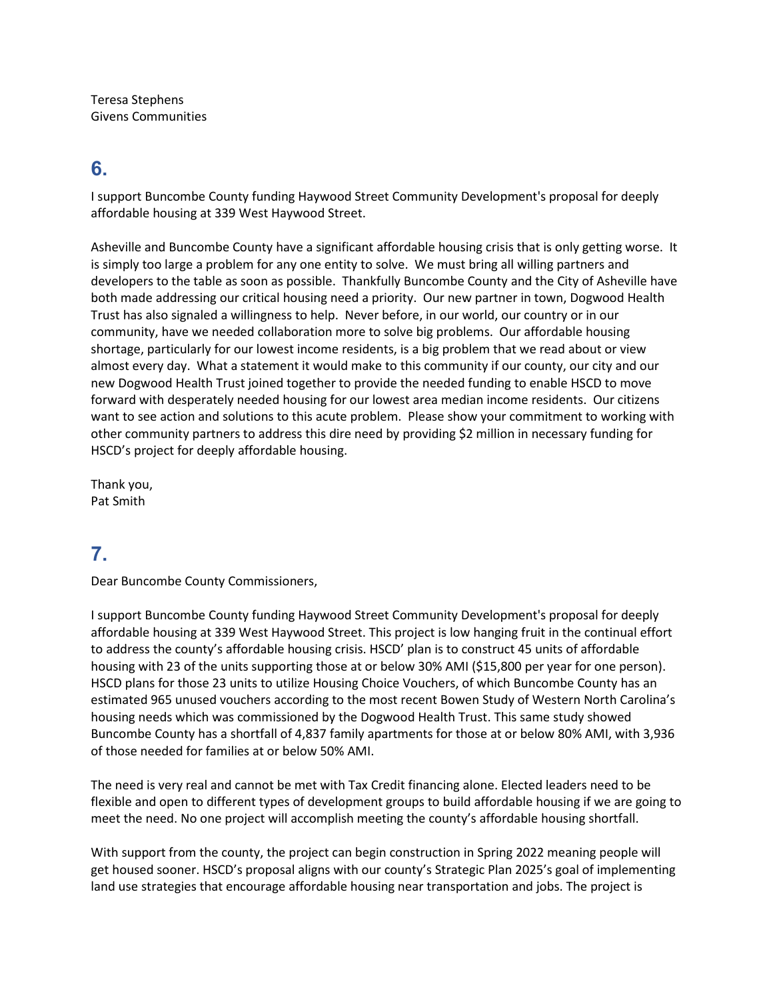Teresa Stephens Givens Communities

### **6.**

I support Buncombe County funding Haywood Street Community Development's proposal for deeply affordable housing at 339 West Haywood Street.

Asheville and Buncombe County have a significant affordable housing crisis that is only getting worse. It is simply too large a problem for any one entity to solve. We must bring all willing partners and developers to the table as soon as possible. Thankfully Buncombe County and the City of Asheville have both made addressing our critical housing need a priority. Our new partner in town, Dogwood Health Trust has also signaled a willingness to help. Never before, in our world, our country or in our community, have we needed collaboration more to solve big problems. Our affordable housing shortage, particularly for our lowest income residents, is a big problem that we read about or view almost every day. What a statement it would make to this community if our county, our city and our new Dogwood Health Trust joined together to provide the needed funding to enable HSCD to move forward with desperately needed housing for our lowest area median income residents. Our citizens want to see action and solutions to this acute problem. Please show your commitment to working with other community partners to address this dire need by providing \$2 million in necessary funding for HSCD's project for deeply affordable housing.

Thank you, Pat Smith

## **7.**

Dear Buncombe County Commissioners,

I support Buncombe County funding Haywood Street Community Development's proposal for deeply affordable housing at 339 West Haywood Street. This project is low hanging fruit in the continual effort to address the county's affordable housing crisis. HSCD' plan is to construct 45 units of affordable housing with 23 of the units supporting those at or below 30% AMI (\$15,800 per year for one person). HSCD plans for those 23 units to utilize Housing Choice Vouchers, of which Buncombe County has an estimated 965 unused vouchers according to the most recent Bowen Study of Western North Carolina's housing needs which was commissioned by the Dogwood Health Trust. This same study showed Buncombe County has a shortfall of 4,837 family apartments for those at or below 80% AMI, with 3,936 of those needed for families at or below 50% AMI.

The need is very real and cannot be met with Tax Credit financing alone. Elected leaders need to be flexible and open to different types of development groups to build affordable housing if we are going to meet the need. No one project will accomplish meeting the county's affordable housing shortfall.

With support from the county, the project can begin construction in Spring 2022 meaning people will get housed sooner. HSCD's proposal aligns with our county's Strategic Plan 2025's goal of implementing land use strategies that encourage affordable housing near transportation and jobs. The project is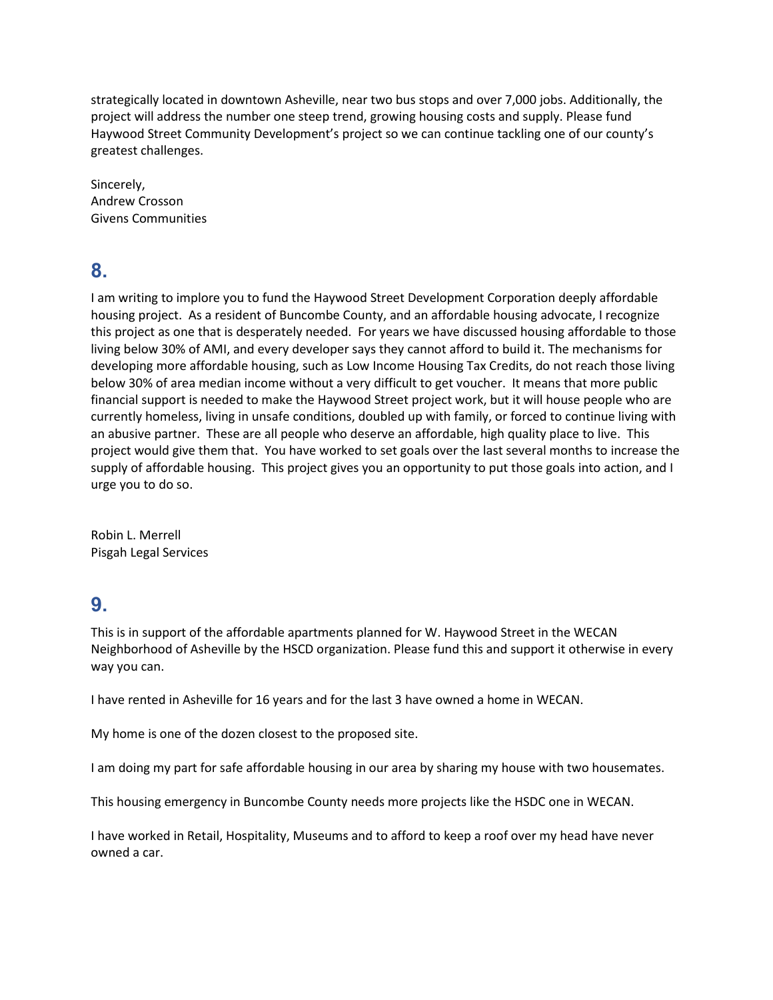strategically located in downtown Asheville, near two bus stops and over 7,000 jobs. Additionally, the project will address the number one steep trend, growing housing costs and supply. Please fund Haywood Street Community Development's project so we can continue tackling one of our county's greatest challenges.

Sincerely, Andrew Crosson Givens Communities

# **8.**

I am writing to implore you to fund the Haywood Street Development Corporation deeply affordable housing project. As a resident of Buncombe County, and an affordable housing advocate, I recognize this project as one that is desperately needed. For years we have discussed housing affordable to those living below 30% of AMI, and every developer says they cannot afford to build it. The mechanisms for developing more affordable housing, such as Low Income Housing Tax Credits, do not reach those living below 30% of area median income without a very difficult to get voucher. It means that more public financial support is needed to make the Haywood Street project work, but it will house people who are currently homeless, living in unsafe conditions, doubled up with family, or forced to continue living with an abusive partner. These are all people who deserve an affordable, high quality place to live. This project would give them that. You have worked to set goals over the last several months to increase the supply of affordable housing. This project gives you an opportunity to put those goals into action, and I urge you to do so.

Robin L. Merrell Pisgah Legal Services

# **9.**

This is in support of the affordable apartments planned for W. Haywood Street in the WECAN Neighborhood of Asheville by the HSCD organization. Please fund this and support it otherwise in every way you can.

I have rented in Asheville for 16 years and for the last 3 have owned a home in WECAN.

My home is one of the dozen closest to the proposed site.

I am doing my part for safe affordable housing in our area by sharing my house with two housemates.

This housing emergency in Buncombe County needs more projects like the HSDC one in WECAN.

I have worked in Retail, Hospitality, Museums and to afford to keep a roof over my head have never owned a car.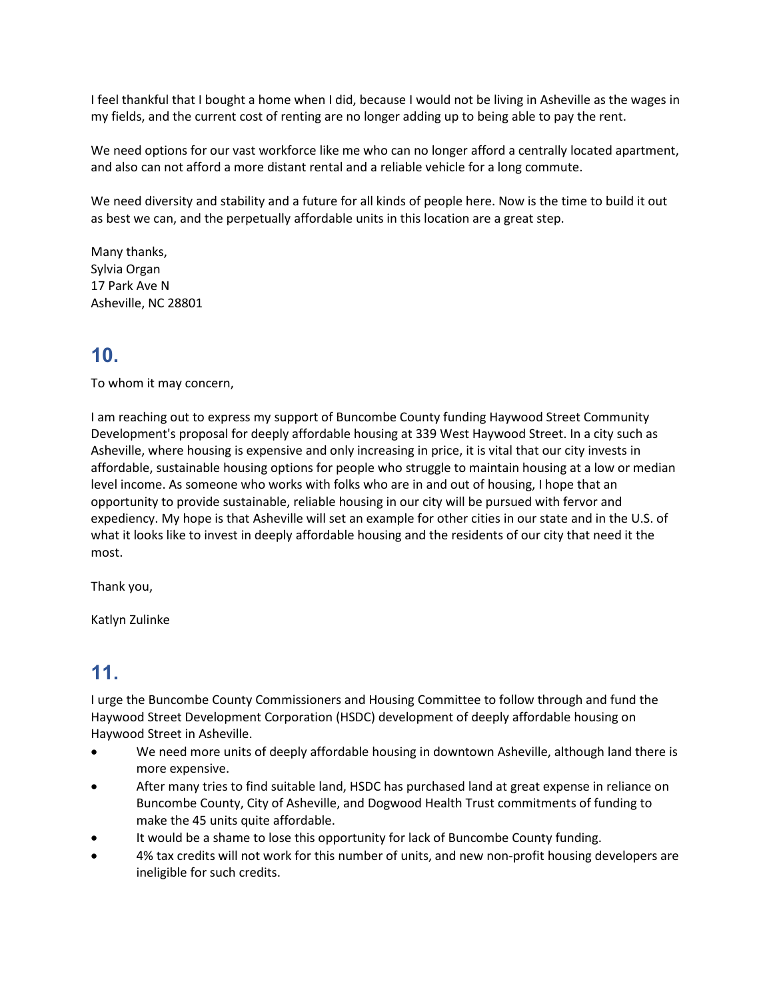I feel thankful that I bought a home when I did, because I would not be living in Asheville as the wages in my fields, and the current cost of renting are no longer adding up to being able to pay the rent.

We need options for our vast workforce like me who can no longer afford a centrally located apartment, and also can not afford a more distant rental and a reliable vehicle for a long commute.

We need diversity and stability and a future for all kinds of people here. Now is the time to build it out as best we can, and the perpetually affordable units in this location are a great step.

Many thanks, Sylvia Organ 17 Park Ave N Asheville, NC 28801

# **10.**

To whom it may concern,

I am reaching out to express my support of Buncombe County funding Haywood Street Community Development's proposal for deeply affordable housing at 339 West Haywood Street. In a city such as Asheville, where housing is expensive and only increasing in price, it is vital that our city invests in affordable, sustainable housing options for people who struggle to maintain housing at a low or median level income. As someone who works with folks who are in and out of housing, I hope that an opportunity to provide sustainable, reliable housing in our city will be pursued with fervor and expediency. My hope is that Asheville will set an example for other cities in our state and in the U.S. of what it looks like to invest in deeply affordable housing and the residents of our city that need it the most.

Thank you,

Katlyn Zulinke

# **11.**

I urge the Buncombe County Commissioners and Housing Committee to follow through and fund the Haywood Street Development Corporation (HSDC) development of deeply affordable housing on Haywood Street in Asheville.

- We need more units of deeply affordable housing in downtown Asheville, although land there is more expensive.
- After many tries to find suitable land, HSDC has purchased land at great expense in reliance on Buncombe County, City of Asheville, and Dogwood Health Trust commitments of funding to make the 45 units quite affordable.
- It would be a shame to lose this opportunity for lack of Buncombe County funding.
- 4% tax credits will not work for this number of units, and new non-profit housing developers are ineligible for such credits.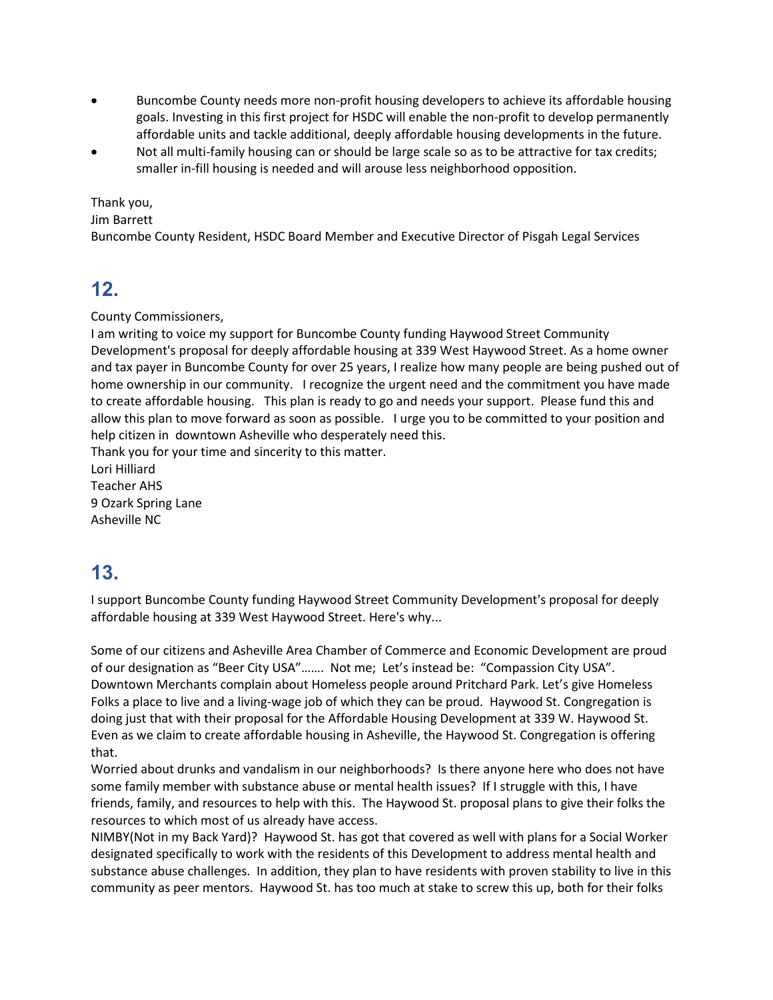- Buncombe County needs more non-profit housing developers to achieve its affordable housing goals. Investing in this first project for HSDC will enable the non-profit to develop permanently affordable units and tackle additional, deeply affordable housing developments in the future.
- Not all multi-family housing can or should be large scale so as to be attractive for tax credits; smaller in-fill housing is needed and will arouse less neighborhood opposition.

Thank you,

Jim Barrett

Buncombe County Resident, HSDC Board Member and Executive Director of Pisgah Legal Services

### **12.**

County Commissioners,

I am writing to voice my support for Buncombe County funding Haywood Street Community Development's proposal for deeply affordable housing at 339 West Haywood Street. As a home owner and tax payer in Buncombe County for over 25 years, I realize how many people are being pushed out of home ownership in our community. I recognize the urgent need and the commitment you have made to create affordable housing. This plan is ready to go and needs your support. Please fund this and allow this plan to move forward as soon as possible. I urge you to be committed to your position and help citizen in downtown Asheville who desperately need this.

Thank you for your time and sincerity to this matter.

Lori Hilliard Teacher AHS 9 Ozark Spring Lane Asheville NC

# **13.**

I support Buncombe County funding Haywood Street Community Development's proposal for deeply affordable housing at 339 West Haywood Street. Here's why...

Some of our citizens and Asheville Area Chamber of Commerce and Economic Development are proud of our designation as "Beer City USA"……. Not me; Let's instead be: "Compassion City USA". Downtown Merchants complain about Homeless people around Pritchard Park. Let's give Homeless Folks a place to live and a living-wage job of which they can be proud. Haywood St. Congregation is doing just that with their proposal for the Affordable Housing Development at 339 W. Haywood St. Even as we claim to create affordable housing in Asheville, the Haywood St. Congregation is offering that.

Worried about drunks and vandalism in our neighborhoods? Is there anyone here who does not have some family member with substance abuse or mental health issues? If I struggle with this, I have friends, family, and resources to help with this. The Haywood St. proposal plans to give their folks the resources to which most of us already have access.

NIMBY(Not in my Back Yard)? Haywood St. has got that covered as well with plans for a Social Worker designated specifically to work with the residents of this Development to address mental health and substance abuse challenges. In addition, they plan to have residents with proven stability to live in this community as peer mentors. Haywood St. has too much at stake to screw this up, both for their folks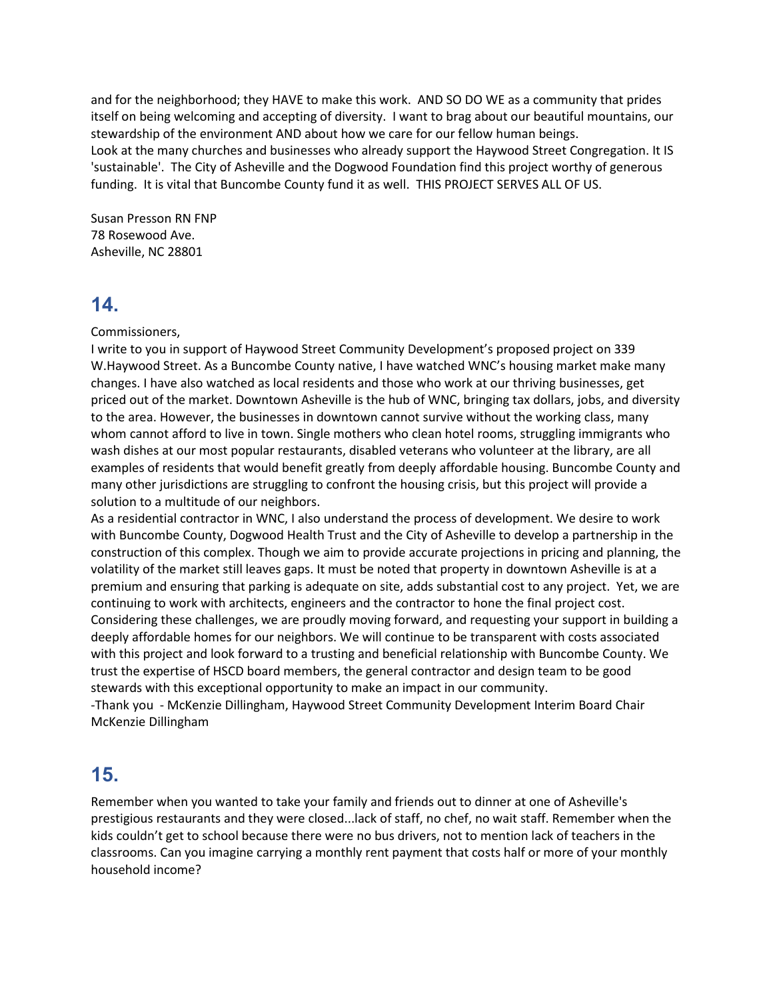and for the neighborhood; they HAVE to make this work. AND SO DO WE as a community that prides itself on being welcoming and accepting of diversity. I want to brag about our beautiful mountains, our stewardship of the environment AND about how we care for our fellow human beings. Look at the many churches and businesses who already support the Haywood Street Congregation. It IS 'sustainable'. The City of Asheville and the Dogwood Foundation find this project worthy of generous funding. It is vital that Buncombe County fund it as well. THIS PROJECT SERVES ALL OF US.

Susan Presson RN FNP 78 Rosewood Ave. Asheville, NC 28801

### **14.**

Commissioners,

I write to you in support of Haywood Street Community Development's proposed project on 339 W.Haywood Street. As a Buncombe County native, I have watched WNC's housing market make many changes. I have also watched as local residents and those who work at our thriving businesses, get priced out of the market. Downtown Asheville is the hub of WNC, bringing tax dollars, jobs, and diversity to the area. However, the businesses in downtown cannot survive without the working class, many whom cannot afford to live in town. Single mothers who clean hotel rooms, struggling immigrants who wash dishes at our most popular restaurants, disabled veterans who volunteer at the library, are all examples of residents that would benefit greatly from deeply affordable housing. Buncombe County and many other jurisdictions are struggling to confront the housing crisis, but this project will provide a solution to a multitude of our neighbors.

As a residential contractor in WNC, I also understand the process of development. We desire to work with Buncombe County, Dogwood Health Trust and the City of Asheville to develop a partnership in the construction of this complex. Though we aim to provide accurate projections in pricing and planning, the volatility of the market still leaves gaps. It must be noted that property in downtown Asheville is at a premium and ensuring that parking is adequate on site, adds substantial cost to any project. Yet, we are continuing to work with architects, engineers and the contractor to hone the final project cost. Considering these challenges, we are proudly moving forward, and requesting your support in building a deeply affordable homes for our neighbors. We will continue to be transparent with costs associated with this project and look forward to a trusting and beneficial relationship with Buncombe County. We trust the expertise of HSCD board members, the general contractor and design team to be good stewards with this exceptional opportunity to make an impact in our community.

-Thank you - McKenzie Dillingham, Haywood Street Community Development Interim Board Chair McKenzie Dillingham

# **15.**

Remember when you wanted to take your family and friends out to dinner at one of Asheville's prestigious restaurants and they were closed...lack of staff, no chef, no wait staff. Remember when the kids couldn't get to school because there were no bus drivers, not to mention lack of teachers in the classrooms. Can you imagine carrying a monthly rent payment that costs half or more of your monthly household income?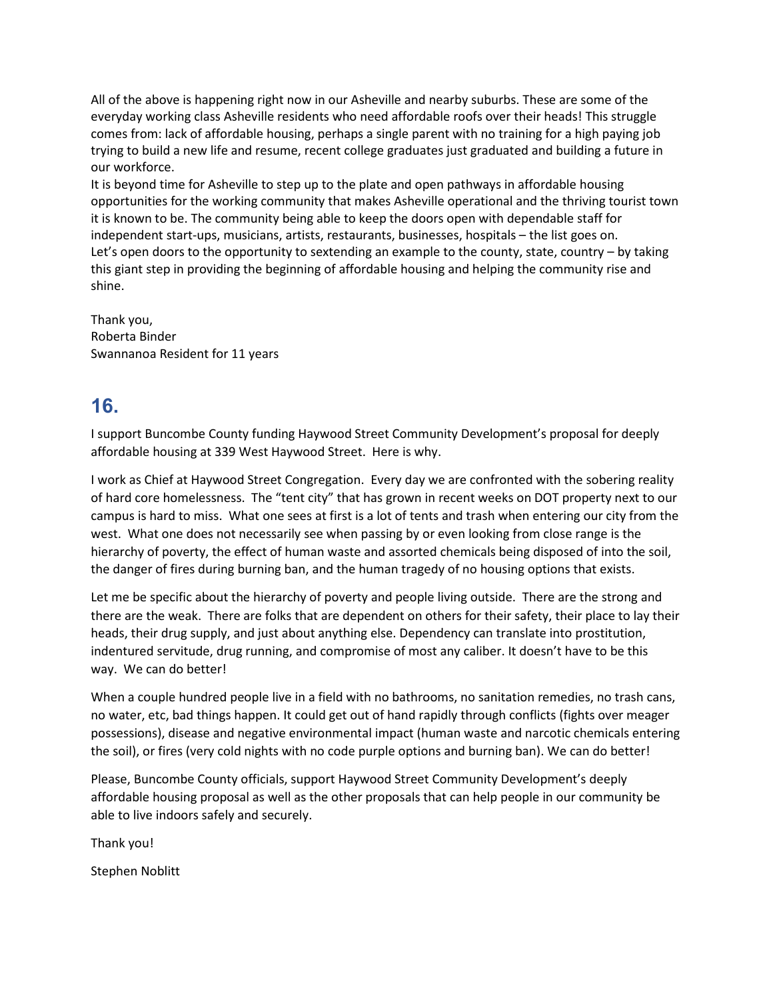All of the above is happening right now in our Asheville and nearby suburbs. These are some of the everyday working class Asheville residents who need affordable roofs over their heads! This struggle comes from: lack of affordable housing, perhaps a single parent with no training for a high paying job trying to build a new life and resume, recent college graduates just graduated and building a future in our workforce.

It is beyond time for Asheville to step up to the plate and open pathways in affordable housing opportunities for the working community that makes Asheville operational and the thriving tourist town it is known to be. The community being able to keep the doors open with dependable staff for independent start-ups, musicians, artists, restaurants, businesses, hospitals – the list goes on. Let's open doors to the opportunity to sextending an example to the county, state, country – by taking this giant step in providing the beginning of affordable housing and helping the community rise and shine.

Thank you, Roberta Binder Swannanoa Resident for 11 years

## **16.**

I support Buncombe County funding Haywood Street Community Development's proposal for deeply affordable housing at 339 West Haywood Street. Here is why.

I work as Chief at Haywood Street Congregation. Every day we are confronted with the sobering reality of hard core homelessness. The "tent city" that has grown in recent weeks on DOT property next to our campus is hard to miss. What one sees at first is a lot of tents and trash when entering our city from the west. What one does not necessarily see when passing by or even looking from close range is the hierarchy of poverty, the effect of human waste and assorted chemicals being disposed of into the soil, the danger of fires during burning ban, and the human tragedy of no housing options that exists.

Let me be specific about the hierarchy of poverty and people living outside. There are the strong and there are the weak. There are folks that are dependent on others for their safety, their place to lay their heads, their drug supply, and just about anything else. Dependency can translate into prostitution, indentured servitude, drug running, and compromise of most any caliber. It doesn't have to be this way. We can do better!

When a couple hundred people live in a field with no bathrooms, no sanitation remedies, no trash cans, no water, etc, bad things happen. It could get out of hand rapidly through conflicts (fights over meager possessions), disease and negative environmental impact (human waste and narcotic chemicals entering the soil), or fires (very cold nights with no code purple options and burning ban). We can do better!

Please, Buncombe County officials, support Haywood Street Community Development's deeply affordable housing proposal as well as the other proposals that can help people in our community be able to live indoors safely and securely.

Thank you!

Stephen Noblitt